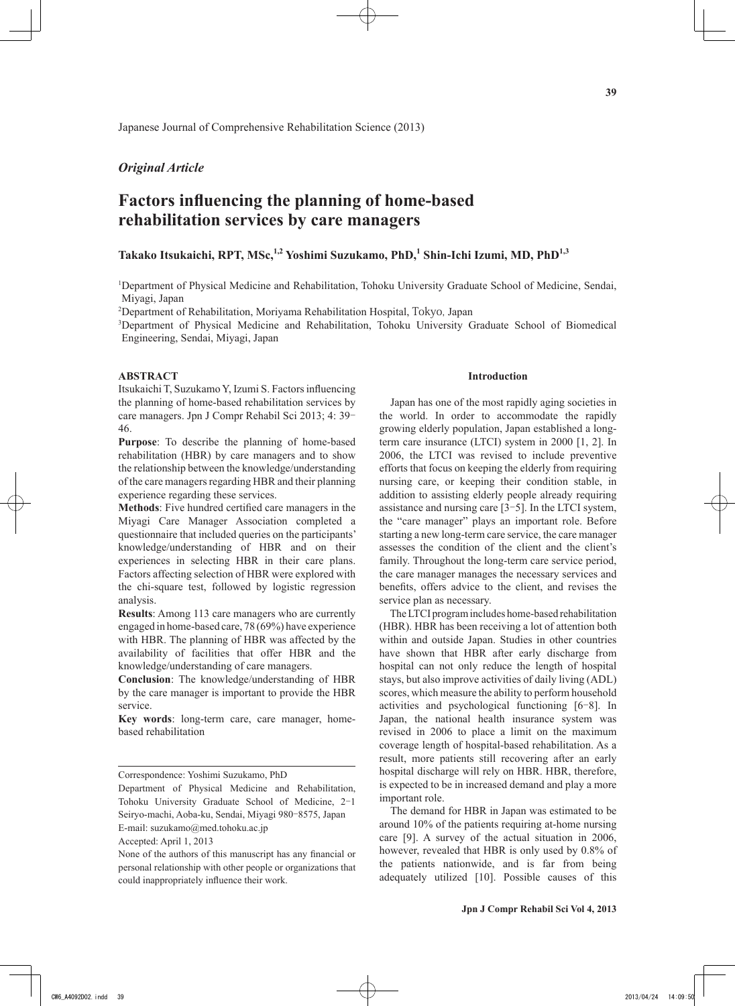Japanese Journal of Comprehensive Rehabilitation Science (2013)

## *Original Article*

# **Factors influencing the planning of home-based rehabilitation services by care managers**

# **Takako Itsukaichi, RPT, MSc,1,2 Yoshimi Suzukamo, PhD,<sup>1</sup> Shin-Ichi Izumi, MD, PhD1,3**

1 Department of Physical Medicine and Rehabilitation, Tohoku University Graduate School of Medicine, Sendai, Miyagi, Japan

2 Department of Rehabilitation, Moriyama Rehabilitation Hospital, Tokyo, Japan

3 Department of Physical Medicine and Rehabilitation, Tohoku University Graduate School of Biomedical Engineering, Sendai, Miyagi, Japan

## **ABSTRACT**

Itsukaichi T, Suzukamo Y, Izumi S. Factors influencing the planning of home-based rehabilitation services by care managers. Jpn J Compr Rehabil Sci 2013; 4: 39- 46.

**Purpose**: To describe the planning of home-based rehabilitation (HBR) by care managers and to show the relationship between the knowledge/understanding of the care managers regarding HBR and their planning experience regarding these services.

**Methods**: Five hundred certified care managers in the Miyagi Care Manager Association completed a questionnaire that included queries on the participants' knowledge/understanding of HBR and on their experiences in selecting HBR in their care plans. Factors affecting selection of HBR were explored with the chi-square test, followed by logistic regression analysis.

**Results**: Among 113 care managers who are currently engaged in home-based care, 78 (69%) have experience with HBR. The planning of HBR was affected by the availability of facilities that offer HBR and the knowledge/understanding of care managers.

**Conclusion**: The knowledge/understanding of HBR by the care manager is important to provide the HBR service.

**Key words**: long-term care, care manager, homebased rehabilitation

### **Introduction**

Japan has one of the most rapidly aging societies in the world. In order to accommodate the rapidly growing elderly population, Japan established a longterm care insurance (LTCI) system in 2000 [1, 2]. In 2006, the LTCI was revised to include preventive efforts that focus on keeping the elderly from requiring nursing care, or keeping their condition stable, in addition to assisting elderly people already requiring assistance and nursing care [3-5]. In the LTCI system, the "care manager" plays an important role. Before starting a new long-term care service, the care manager assesses the condition of the client and the client's family. Throughout the long-term care service period, the care manager manages the necessary services and benefits, offers advice to the client, and revises the service plan as necessary.

The LTCI program includes home-based rehabilitation (HBR). HBR has been receiving a lot of attention both within and outside Japan. Studies in other countries have shown that HBR after early discharge from hospital can not only reduce the length of hospital stays, but also improve activities of daily living (ADL) scores, which measure the ability to perform household activities and psychological functioning [6-8]. In Japan, the national health insurance system was revised in 2006 to place a limit on the maximum coverage length of hospital-based rehabilitation. As a result, more patients still recovering after an early hospital discharge will rely on HBR. HBR, therefore, is expected to be in increased demand and play a more important role.

The demand for HBR in Japan was estimated to be around 10% of the patients requiring at-home nursing care [9]. A survey of the actual situation in 2006, however, revealed that HBR is only used by 0.8% of the patients nationwide, and is far from being adequately utilized [10]. Possible causes of this

Correspondence: Yoshimi Suzukamo, PhD

Department of Physical Medicine and Rehabilitation, Tohoku University Graduate School of Medicine, 2-1 Seiryo-machi, Aoba-ku, Sendai, Miyagi 980-8575, Japan E-mail: suzukamo@med.tohoku.ac.jp

Accepted: April 1, 2013

None of the authors of this manuscript has any financial or personal relationship with other people or organizations that could inappropriately influence their work.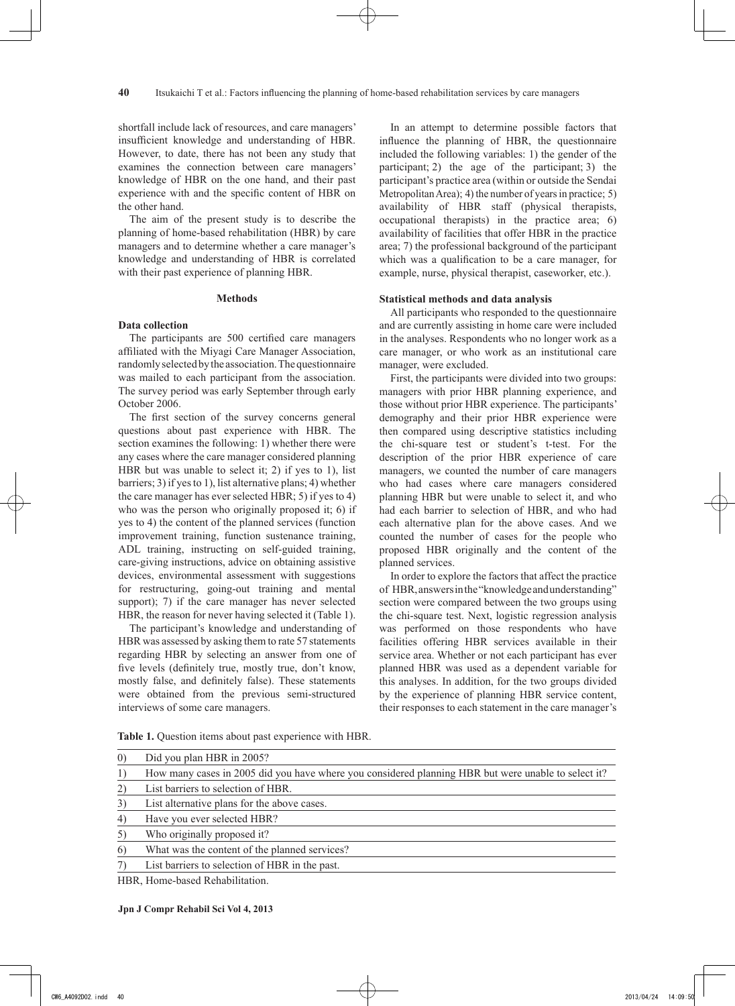shortfall include lack of resources, and care managers' insufficient knowledge and understanding of HBR. However, to date, there has not been any study that examines the connection between care managers' knowledge of HBR on the one hand, and their past experience with and the specific content of HBR on the other hand.

The aim of the present study is to describe the planning of home-based rehabilitation (HBR) by care managers and to determine whether a care manager's knowledge and understanding of HBR is correlated with their past experience of planning HBR.

#### **Methods**

## **Data collection**

The participants are 500 certified care managers affiliated with the Miyagi Care Manager Association, randomly selected by the association. The questionnaire was mailed to each participant from the association. The survey period was early September through early October 2006.

The first section of the survey concerns general questions about past experience with HBR. The section examines the following: 1) whether there were any cases where the care manager considered planning HBR but was unable to select it; 2) if yes to 1), list barriers; 3) if yes to 1), list alternative plans; 4) whether the care manager has ever selected HBR; 5) if yes to 4) who was the person who originally proposed it; 6) if yes to 4) the content of the planned services (function improvement training, function sustenance training, ADL training, instructing on self-guided training, care-giving instructions, advice on obtaining assistive devices, environmental assessment with suggestions for restructuring, going-out training and mental support); 7) if the care manager has never selected HBR, the reason for never having selected it (Table 1).

The participant's knowledge and understanding of HBR was assessed by asking them to rate 57 statements regarding HBR by selecting an answer from one of five levels (definitely true, mostly true, don't know, mostly false, and definitely false). These statements were obtained from the previous semi-structured interviews of some care managers.

In an attempt to determine possible factors that influence the planning of HBR, the questionnaire included the following variables: 1) the gender of the participant; 2) the age of the participant; 3) the participant's practice area (within or outside the Sendai Metropolitan Area); 4) the number of years in practice; 5) availability of HBR staff (physical therapists, occupational therapists) in the practice area; 6) availability of facilities that offer HBR in the practice area; 7) the professional background of the participant which was a qualification to be a care manager, for example, nurse, physical therapist, caseworker, etc.).

## **Statistical methods and data analysis**

All participants who responded to the questionnaire and are currently assisting in home care were included in the analyses. Respondents who no longer work as a care manager, or who work as an institutional care manager, were excluded.

First, the participants were divided into two groups: managers with prior HBR planning experience, and those without prior HBR experience. The participants' demography and their prior HBR experience were then compared using descriptive statistics including the chi-square test or student's t-test. For the description of the prior HBR experience of care managers, we counted the number of care managers who had cases where care managers considered planning HBR but were unable to select it, and who had each barrier to selection of HBR, and who had each alternative plan for the above cases. And we counted the number of cases for the people who proposed HBR originally and the content of the planned services.

In order to explore the factors that affect the practice of HBR, answers in the "knowledge and understanding" section were compared between the two groups using the chi-square test. Next, logistic regression analysis was performed on those respondents who have facilities offering HBR services available in their service area. Whether or not each participant has ever planned HBR was used as a dependent variable for this analyses. In addition, for the two groups divided by the experience of planning HBR service content, their responses to each statement in the care manager's

| 0) Did you plan HBR in 2005?                                                                           |
|--------------------------------------------------------------------------------------------------------|
| 1) How many cases in 2005 did you have where you considered planning HBR but were unable to select it? |

2) List barriers to selection of HBR.

**Table 1.** Question items about past experience with HBR.

3) List alternative plans for the above cases.

4) Have you ever selected HBR?

5) Who originally proposed it?

6) What was the content of the planned services?

7) List barriers to selection of HBR in the past.

HBR, Home-based Rehabilitation.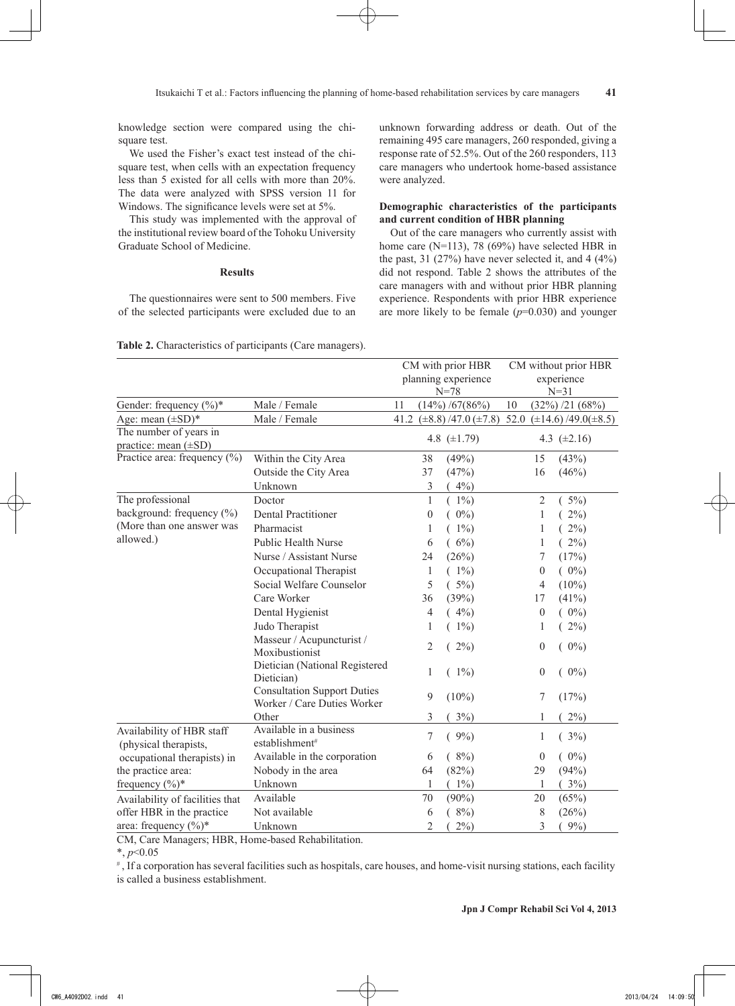knowledge section were compared using the chisquare test.

We used the Fisher's exact test instead of the chisquare test, when cells with an expectation frequency less than 5 existed for all cells with more than 20%. The data were analyzed with SPSS version 11 for Windows. The significance levels were set at 5%.

This study was implemented with the approval of the institutional review board of the Tohoku University Graduate School of Medicine.

## **Results**

The questionnaires were sent to 500 members. Five of the selected participants were excluded due to an

unknown forwarding address or death. Out of the remaining 495 care managers, 260 responded, giving a response rate of 52.5%. Out of the 260 responders, 113 care managers who undertook home-based assistance were analyzed.

## **Demographic characteristics of the participants and current condition of HBR planning**

Out of the care managers who currently assist with home care (N=113), 78 (69%) have selected HBR in the past, 31 (27%) have never selected it, and  $4(4\%)$ did not respond. Table 2 shows the attributes of the care managers with and without prior HBR planning experience. Respondents with prior HBR experience are more likely to be female  $(p=0.030)$  and younger

|                                                     |                                                                   | CM with prior HBR<br>planning experience<br>$N = 78$ |                  | CM without prior HBR<br>experience<br>$N = 31$ |      |                  |                            |
|-----------------------------------------------------|-------------------------------------------------------------------|------------------------------------------------------|------------------|------------------------------------------------|------|------------------|----------------------------|
| Gender: frequency (%)*                              | Male / Female                                                     | 11<br>$(14\%) / 67(86\%)$                            |                  | 10<br>$(32\%)$ /21 $(68\%)$                    |      |                  |                            |
| Age: mean $(\pm SD)^*$                              | Male / Female                                                     |                                                      |                  | 41.2 $(\pm 8.8)$ /47.0 $(\pm 7.8)$             | 52.0 |                  | $(\pm 14.6)/49.0(\pm 8.5)$ |
| The number of years in<br>practice: mean $(\pm SD)$ |                                                                   |                                                      |                  | 4.8 $(\pm 1.79)$                               |      |                  | 4.3 $(\pm 2.16)$           |
| Practice area: frequency (%)                        | Within the City Area                                              | 38                                                   |                  | (49%)                                          |      | 15               | (43%)                      |
|                                                     | Outside the City Area                                             | 37                                                   |                  | (47%)                                          |      | 16               | (46%)                      |
|                                                     | Unknown                                                           |                                                      | $\mathfrak{Z}$   | $4\%$ )                                        |      |                  |                            |
| The professional                                    | Doctor                                                            |                                                      | 1                | $(1\%)$                                        |      | $\overline{2}$   | $(5\%)$                    |
| background: frequency (%)                           | <b>Dental Practitioner</b>                                        |                                                      | $\boldsymbol{0}$ | $0\%$                                          |      | 1                | $2\%)$                     |
| (More than one answer was                           | Pharmacist                                                        |                                                      | 1                | $1\%$                                          |      | 1                | $(2\%)$                    |
| allowed.)                                           | <b>Public Health Nurse</b>                                        |                                                      | 6                | (6%)                                           |      | 1                | $(2\%)$                    |
|                                                     | Nurse / Assistant Nurse                                           | 24                                                   |                  | (26%)                                          |      | 7                | (17%)                      |
|                                                     | Occupational Therapist                                            |                                                      | 1                | $(1\%)$                                        |      | $\boldsymbol{0}$ | $(0\%)$                    |
|                                                     | Social Welfare Counselor                                          |                                                      | 5                | $(5\%)$                                        |      | 4                | $(10\%)$                   |
|                                                     | Care Worker                                                       | 36                                                   |                  | (39%)                                          |      | 17               | $(41\%)$                   |
|                                                     | Dental Hygienist                                                  |                                                      | 4                | $(4\%)$                                        |      | $\boldsymbol{0}$ | $(0\%)$                    |
|                                                     | Judo Therapist                                                    |                                                      | 1                | $(1\%)$                                        |      | 1                | $(2\%)$                    |
|                                                     | Masseur / Acupuncturist /<br>Moxibustionist                       |                                                      | 2                | $2\%)$                                         |      | $\boldsymbol{0}$ | $(0\%)$                    |
|                                                     | Dietician (National Registered<br>Dietician)                      |                                                      | 1                | $(1\%)$                                        |      | $\boldsymbol{0}$ | $(0\%)$                    |
|                                                     | <b>Consultation Support Duties</b><br>Worker / Care Duties Worker |                                                      | 9                | $(10\%)$                                       |      | $\tau$           | (17%)                      |
|                                                     | Other                                                             |                                                      | 3                | $3\%)$                                         |      | 1                | $2\%)$                     |
| Availability of HBR staff<br>(physical therapists,  | Available in a business<br>establishment <sup>#</sup>             |                                                      | 7                | $(9\%)$                                        |      | 1                | $(3\%)$                    |
| occupational therapists) in                         | Available in the corporation                                      |                                                      | 6                | $(8\%)$                                        |      | $\boldsymbol{0}$ | $(0\%)$                    |
| the practice area:                                  | Nobody in the area                                                | 64                                                   |                  | (82%)                                          |      | 29               | (94%)                      |
| frequency $(\%)^*$                                  | Unknown                                                           |                                                      | 1                | $(1\%)$                                        |      | 1                | (3%)                       |
| Availability of facilities that                     | Available                                                         | 70                                                   |                  | $(90\%)$                                       |      | 20               | (65%)                      |
| offer HBR in the practice                           | Not available                                                     |                                                      | 6                | $(8\%)$                                        |      | 8                | (26%)                      |
| area: frequency $(\%)^*$                            | Unknown                                                           |                                                      | $\overline{2}$   | $2\%)$                                         |      | 3                | $9\%)$                     |

**Table 2.** Characteristics of participants (Care managers).

CM, Care Managers; HBR, Home-based Rehabilitation.

\*, *p*<0.05

#, If a corporation has several facilities such as hospitals, care houses, and home-visit nursing stations, each facility is called a business establishment.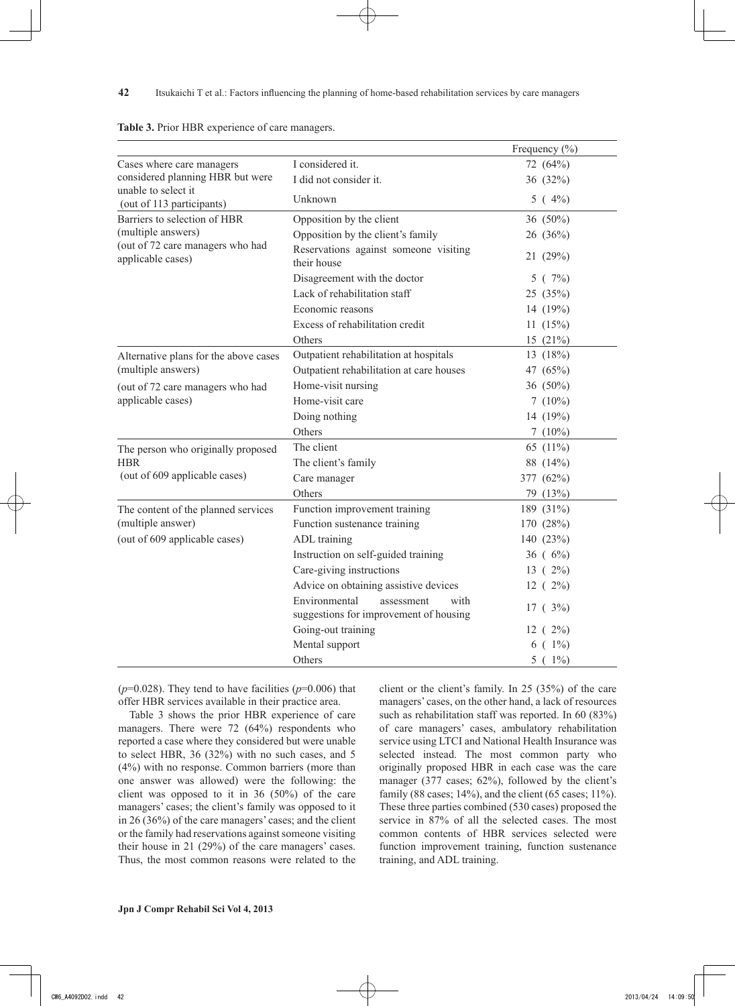|                                                         |                                                                               | Frequency $(\% )$ |
|---------------------------------------------------------|-------------------------------------------------------------------------------|-------------------|
| Cases where care managers                               | I considered it.                                                              | 72 (64%)          |
| considered planning HBR but were<br>unable to select it | I did not consider it.                                                        | 36 (32%)          |
| (out of 113 participants)                               | Unknown                                                                       | $5(4\%)$          |
| Barriers to selection of HBR                            | Opposition by the client                                                      | 36 (50%)          |
| (multiple answers)                                      | Opposition by the client's family                                             | 26 (36%)          |
| (out of 72 care managers who had<br>applicable cases)   | Reservations against someone visiting<br>their house                          | 21(29%)           |
|                                                         | Disagreement with the doctor                                                  | 5(7%)             |
|                                                         | Lack of rehabilitation staff                                                  | 25 (35%)          |
|                                                         | Economic reasons                                                              | 14 $(19%)$        |
|                                                         | Excess of rehabilitation credit                                               | 11(15%)           |
|                                                         | Others                                                                        | 15 $(21\%)$       |
| Alternative plans for the above cases                   | Outpatient rehabilitation at hospitals                                        | 13 $(18%)$        |
| (multiple answers)                                      | Outpatient rehabilitation at care houses                                      | 47 (65%)          |
| (out of 72 care managers who had                        | Home-visit nursing                                                            | 36 (50%)          |
| applicable cases)                                       | Home-visit care                                                               | 7(10%)            |
|                                                         | Doing nothing                                                                 | 14 (19%)          |
|                                                         | Others                                                                        | 7 $(10\%)$        |
| The person who originally proposed                      | The client                                                                    | 65 (11%)          |
| <b>HBR</b>                                              | The client's family                                                           | 88 (14%)          |
| (out of 609 applicable cases)                           | Care manager                                                                  | 377 (62%)         |
|                                                         | Others                                                                        | 79 (13%)          |
| The content of the planned services                     | Function improvement training                                                 | 189 (31%)         |
| (multiple answer)                                       | Function sustenance training                                                  | 170 (28%)         |
| (out of 609 applicable cases)                           | ADL training                                                                  | 140 (23%)         |
|                                                         | Instruction on self-guided training                                           | $36^{(6\%)}$      |
|                                                         | Care-giving instructions                                                      | $13(2\%)$         |
|                                                         | Advice on obtaining assistive devices                                         | 12(2%)            |
|                                                         | Environmental<br>assessment<br>with<br>suggestions for improvement of housing | $17^{(3\%)}$      |
|                                                         | Going-out training                                                            | 12(2%)            |
|                                                         | Mental support                                                                | $6(1\%)$          |
|                                                         | Others                                                                        | $5(1\%)$          |

|  | Table 3. Prior HBR experience of care managers. |  |  |
|--|-------------------------------------------------|--|--|
|  |                                                 |  |  |
|  |                                                 |  |  |

( $p=0.028$ ). They tend to have facilities ( $p=0.006$ ) that offer HBR services available in their practice area.

Table 3 shows the prior HBR experience of care managers. There were 72 (64%) respondents who reported a case where they considered but were unable to select HBR, 36 (32%) with no such cases, and 5 (4%) with no response. Common barriers (more than one answer was allowed) were the following: the client was opposed to it in 36 (50%) of the care managers' cases; the client's family was opposed to it in 26 (36%) of the care managers' cases; and the client or the family had reservations against someone visiting their house in 21 (29%) of the care managers' cases. Thus, the most common reasons were related to the client or the client's family. In 25 (35%) of the care managers' cases, on the other hand, a lack of resources such as rehabilitation staff was reported. In 60 (83%) of care managers' cases, ambulatory rehabilitation service using LTCI and National Health Insurance was selected instead. The most common party who originally proposed HBR in each case was the care manager (377 cases; 62%), followed by the client's family (88 cases;  $14\%$ ), and the client (65 cases;  $11\%$ ). These three parties combined (530 cases) proposed the service in 87% of all the selected cases. The most common contents of HBR services selected were function improvement training, function sustenance training, and ADL training.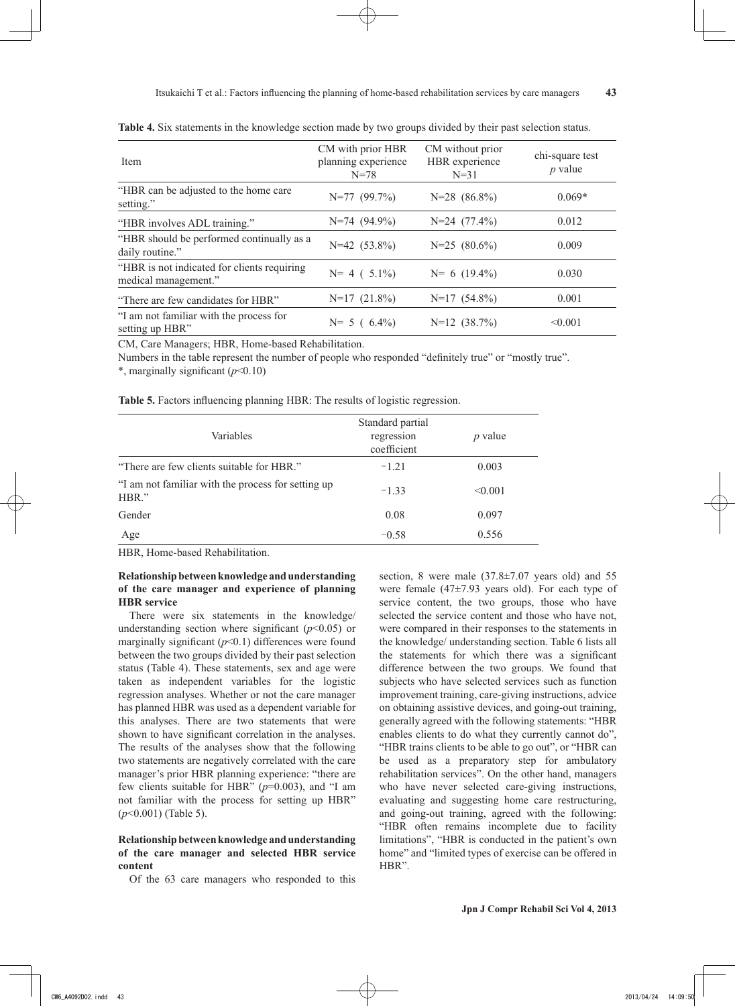| Item                                                                | CM with prior HBR<br>planning experience | CM without prior<br>HBR experience | chi-square test<br>$p$ value |
|---------------------------------------------------------------------|------------------------------------------|------------------------------------|------------------------------|
|                                                                     | $N = 78$                                 | $N = 31$                           |                              |
| "HBR can be adjusted to the home care"<br>setting."                 | $N=77$ (99.7%)                           | $N=28$ $(86.8\%)$                  | $0.069*$                     |
| "HBR involves ADL training."                                        | $N=74$ (94.9%)                           | $N=24$ (77.4%)                     | 0.012                        |
| "HBR should be performed continually as a<br>daily routine."        | $N=42$ (53.8%)                           | $N=25$ $(80.6\%)$                  | 0.009                        |
| "HBR is not indicated for clients requiring<br>medical management." | $N=4(5.1\%)$                             | $N= 6$ (19.4%)                     | 0.030                        |
| "There are few candidates for HBR"                                  | $N=17(21.8\%)$                           | $N=17(54.8\%)$                     | 0.001                        |
| "I am not familiar with the process for<br>setting up HBR"          | $N = 5 (6.4\%)$                          | $N=12$ $(38.7\%)$                  | < 0.001                      |

**Table 4.** Six statements in the knowledge section made by two groups divided by their past selection status.

CM, Care Managers; HBR, Home-based Rehabilitation.

Numbers in the table represent the number of people who responded "definitely true" or "mostly true".

\*, marginally significant (*p*<0.10)

**Table 5.** Factors influencing planning HBR: The results of logistic regression.

| Variables                                                   | Standard partial<br>regression<br>coefficient | $p$ value |
|-------------------------------------------------------------|-----------------------------------------------|-----------|
| "There are few clients suitable for HBR."                   | $-1.21$                                       | 0.003     |
| "I am not familiar with the process for setting up<br>HBR." | $-1.33$                                       | < 0.001   |
| Gender                                                      | 0.08                                          | 0.097     |
| Age                                                         | $-0.58$                                       | 0.556     |

HBR, Home-based Rehabilitation.

## **Relationship between knowledge and understanding of the care manager and experience of planning HBR service**

There were six statements in the knowledge/ understanding section where significant  $(p<0.05)$  or marginally significant  $(p<0.1)$  differences were found between the two groups divided by their past selection status (Table 4). These statements, sex and age were taken as independent variables for the logistic regression analyses. Whether or not the care manager has planned HBR was used as a dependent variable for this analyses. There are two statements that were shown to have significant correlation in the analyses. The results of the analyses show that the following two statements are negatively correlated with the care manager's prior HBR planning experience: "there are few clients suitable for HBR" (*p*=0.003), and "I am not familiar with the process for setting up HBR" (*p*<0.001) (Table 5).

## **Relationship between knowledge and understanding of the care manager and selected HBR service content**

Of the 63 care managers who responded to this

section, 8 were male  $(37.8 \pm 7.07)$  years old) and 55 were female (47±7.93 years old). For each type of service content, the two groups, those who have selected the service content and those who have not, were compared in their responses to the statements in the knowledge/ understanding section. Table 6 lists all the statements for which there was a significant difference between the two groups. We found that subjects who have selected services such as function improvement training, care-giving instructions, advice on obtaining assistive devices, and going-out training, generally agreed with the following statements: "HBR enables clients to do what they currently cannot do", "HBR trains clients to be able to go out", or "HBR can be used as a preparatory step for ambulatory rehabilitation services". On the other hand, managers who have never selected care-giving instructions, evaluating and suggesting home care restructuring, and going-out training, agreed with the following: "HBR often remains incomplete due to facility limitations", "HBR is conducted in the patient's own home" and "limited types of exercise can be offered in HBR".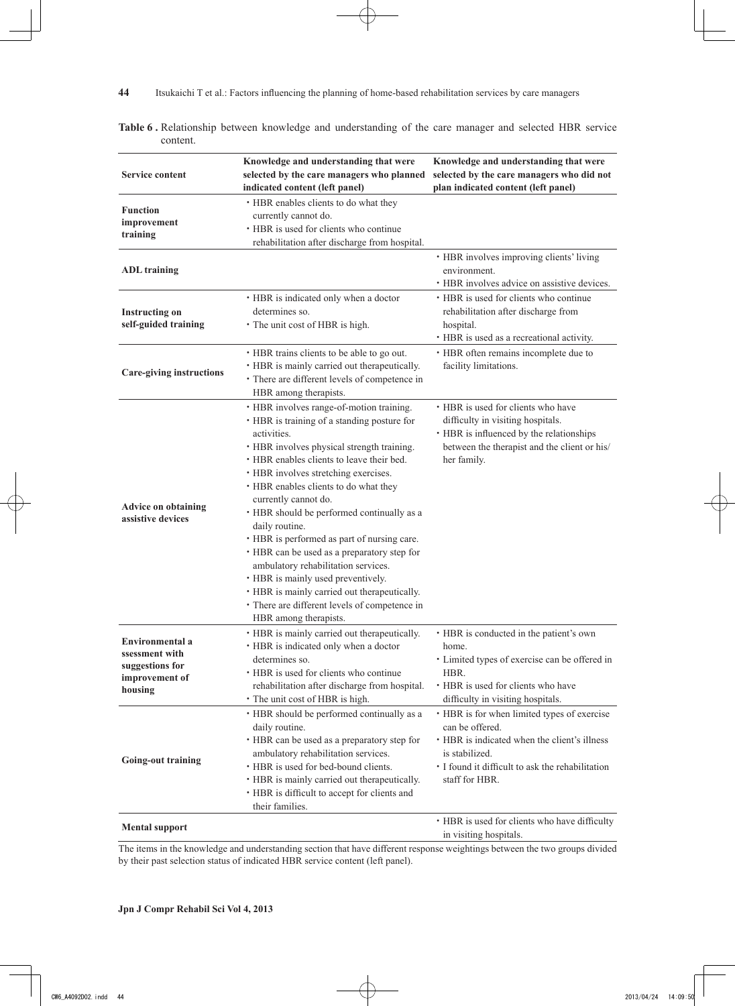|                                                                                          | Knowledge and understanding that were                                                                                                                                                                                                                                                                                                                                                                                                                                                                                                                                                                                                                                           | Knowledge and understanding that were                                                                                                                                                                  |  |  |
|------------------------------------------------------------------------------------------|---------------------------------------------------------------------------------------------------------------------------------------------------------------------------------------------------------------------------------------------------------------------------------------------------------------------------------------------------------------------------------------------------------------------------------------------------------------------------------------------------------------------------------------------------------------------------------------------------------------------------------------------------------------------------------|--------------------------------------------------------------------------------------------------------------------------------------------------------------------------------------------------------|--|--|
| <b>Service content</b>                                                                   | selected by the care managers who planned<br>indicated content (left panel)                                                                                                                                                                                                                                                                                                                                                                                                                                                                                                                                                                                                     | selected by the care managers who did not<br>plan indicated content (left panel)                                                                                                                       |  |  |
| <b>Function</b><br>improvement<br>training                                               | • HBR enables clients to do what they<br>currently cannot do.<br>• HBR is used for clients who continue<br>rehabilitation after discharge from hospital.                                                                                                                                                                                                                                                                                                                                                                                                                                                                                                                        |                                                                                                                                                                                                        |  |  |
| <b>ADL</b> training                                                                      |                                                                                                                                                                                                                                                                                                                                                                                                                                                                                                                                                                                                                                                                                 | • HBR involves improving clients' living<br>environment.<br>• HBR involves advice on assistive devices.                                                                                                |  |  |
| <b>Instructing on</b><br>self-guided training                                            | • HBR is indicated only when a doctor<br>determines so.<br>• The unit cost of HBR is high.                                                                                                                                                                                                                                                                                                                                                                                                                                                                                                                                                                                      | • HBR is used for clients who continue<br>rehabilitation after discharge from<br>hospital.<br>• HBR is used as a recreational activity.                                                                |  |  |
| <b>Care-giving instructions</b>                                                          | • HBR trains clients to be able to go out.<br>• HBR is mainly carried out therapeutically.<br>• There are different levels of competence in<br>HBR among therapists.                                                                                                                                                                                                                                                                                                                                                                                                                                                                                                            | • HBR often remains incomplete due to<br>facility limitations.                                                                                                                                         |  |  |
| <b>Advice on obtaining</b><br>assistive devices                                          | · HBR involves range-of-motion training.<br>• HBR is training of a standing posture for<br>activities.<br>• HBR involves physical strength training.<br>• HBR enables clients to leave their bed.<br>• HBR involves stretching exercises.<br>• HBR enables clients to do what they<br>currently cannot do.<br>• HBR should be performed continually as a<br>daily routine.<br>• HBR is performed as part of nursing care.<br>• HBR can be used as a preparatory step for<br>ambulatory rehabilitation services.<br>• HBR is mainly used preventively.<br>• HBR is mainly carried out therapeutically.<br>· There are different levels of competence in<br>HBR among therapists. | • HBR is used for clients who have<br>difficulty in visiting hospitals.<br>• HBR is influenced by the relationships<br>between the therapist and the client or his/<br>her family.                     |  |  |
| <b>Environmental</b> a<br>ssessment with<br>suggestions for<br>improvement of<br>housing | • HBR is mainly carried out therapeutically.<br>• HBR is indicated only when a doctor<br>determines so.<br>• HBR is used for clients who continue<br>rehabilitation after discharge from hospital.<br>• The unit cost of HBR is high.                                                                                                                                                                                                                                                                                                                                                                                                                                           | • HBR is conducted in the patient's own<br>home.<br>· Limited types of exercise can be offered in<br>HBR.<br>• HBR is used for clients who have<br>difficulty in visiting hospitals.                   |  |  |
| <b>Going-out training</b>                                                                | · HBR should be performed continually as a<br>daily routine.<br>• HBR can be used as a preparatory step for<br>ambulatory rehabilitation services.<br>• HBR is used for bed-bound clients.<br>• HBR is mainly carried out therapeutically.<br>• HBR is difficult to accept for clients and<br>their families.                                                                                                                                                                                                                                                                                                                                                                   | • HBR is for when limited types of exercise<br>can be offered.<br>• HBR is indicated when the client's illness<br>is stabilized.<br>· I found it difficult to ask the rehabilitation<br>staff for HBR. |  |  |
| <b>Mental support</b>                                                                    |                                                                                                                                                                                                                                                                                                                                                                                                                                                                                                                                                                                                                                                                                 | • HBR is used for clients who have difficulty<br>in visiting hospitals.                                                                                                                                |  |  |

**Table 6 .** Relationship between knowledge and understanding of the care manager and selected HBR service content.

The items in the knowledge and understanding section that have different response weightings between the two groups divided by their past selection status of indicated HBR service content (left panel).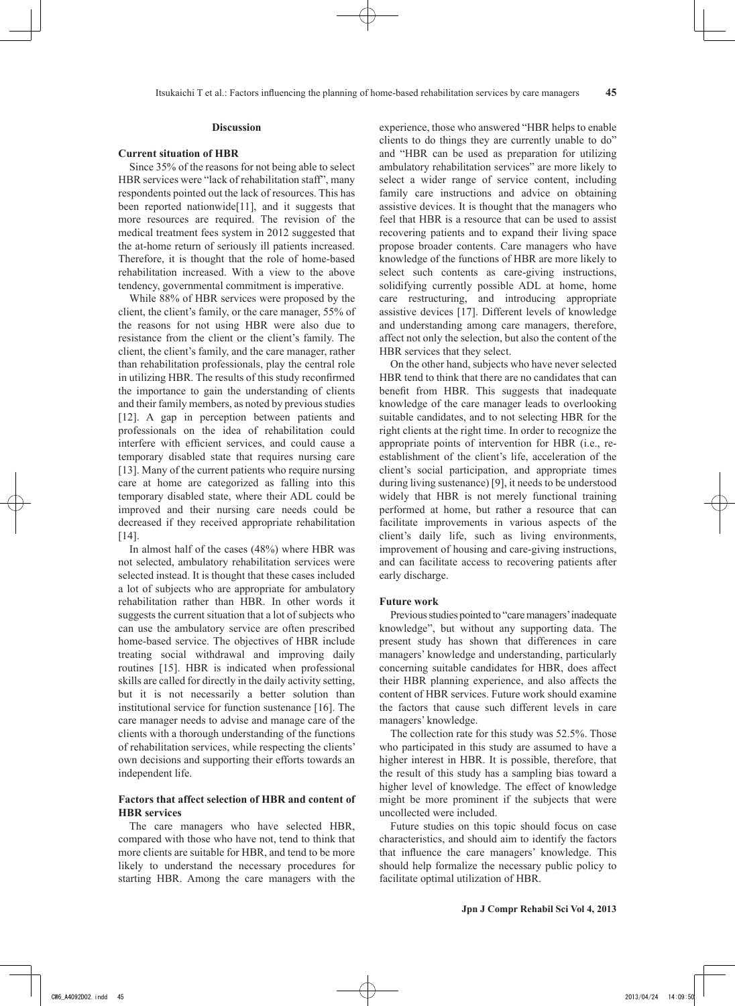#### **Current situation of HBR**

Since 35% of the reasons for not being able to select HBR services were "lack of rehabilitation staff", many respondents pointed out the lack of resources. This has been reported nationwide<sup>[11]</sup>, and it suggests that more resources are required. The revision of the medical treatment fees system in 2012 suggested that the at-home return of seriously ill patients increased. Therefore, it is thought that the role of home-based rehabilitation increased. With a view to the above tendency, governmental commitment is imperative.

While 88% of HBR services were proposed by the client, the client's family, or the care manager, 55% of the reasons for not using HBR were also due to resistance from the client or the client's family. The client, the client's family, and the care manager, rather than rehabilitation professionals, play the central role in utilizing HBR. The results of this study reconfirmed the importance to gain the understanding of clients and their family members, as noted by previous studies [12]. A gap in perception between patients and professionals on the idea of rehabilitation could interfere with efficient services, and could cause a temporary disabled state that requires nursing care [13]. Many of the current patients who require nursing care at home are categorized as falling into this temporary disabled state, where their ADL could be improved and their nursing care needs could be decreased if they received appropriate rehabilitation [14].

In almost half of the cases (48%) where HBR was not selected, ambulatory rehabilitation services were selected instead. It is thought that these cases included a lot of subjects who are appropriate for ambulatory rehabilitation rather than HBR. In other words it suggests the current situation that a lot of subjects who can use the ambulatory service are often prescribed home-based service. The objectives of HBR include treating social withdrawal and improving daily routines [15]. HBR is indicated when professional skills are called for directly in the daily activity setting, but it is not necessarily a better solution than institutional service for function sustenance [16]. The care manager needs to advise and manage care of the clients with a thorough understanding of the functions of rehabilitation services, while respecting the clients' own decisions and supporting their efforts towards an independent life.

## **Factors that affect selection of HBR and content of HBR services**

The care managers who have selected HBR, compared with those who have not, tend to think that more clients are suitable for HBR, and tend to be more likely to understand the necessary procedures for starting HBR. Among the care managers with the experience, those who answered "HBR helps to enable clients to do things they are currently unable to do" and "HBR can be used as preparation for utilizing ambulatory rehabilitation services" are more likely to select a wider range of service content, including family care instructions and advice on obtaining assistive devices. It is thought that the managers who feel that HBR is a resource that can be used to assist recovering patients and to expand their living space propose broader contents. Care managers who have knowledge of the functions of HBR are more likely to select such contents as care-giving instructions, solidifying currently possible ADL at home, home care restructuring, and introducing appropriate assistive devices [17]. Different levels of knowledge and understanding among care managers, therefore, affect not only the selection, but also the content of the HBR services that they select.

On the other hand, subjects who have never selected HBR tend to think that there are no candidates that can benefit from HBR. This suggests that inadequate knowledge of the care manager leads to overlooking suitable candidates, and to not selecting HBR for the right clients at the right time. In order to recognize the appropriate points of intervention for HBR (i.e., reestablishment of the client's life, acceleration of the client's social participation, and appropriate times during living sustenance) [9], it needs to be understood widely that HBR is not merely functional training performed at home, but rather a resource that can facilitate improvements in various aspects of the client's daily life, such as living environments, improvement of housing and care-giving instructions, and can facilitate access to recovering patients after early discharge.

## **Future work**

Previous studies pointed to "care managers' inadequate knowledge", but without any supporting data. The present study has shown that differences in care managers' knowledge and understanding, particularly concerning suitable candidates for HBR, does affect their HBR planning experience, and also affects the content of HBR services. Future work should examine the factors that cause such different levels in care managers' knowledge.

The collection rate for this study was 52.5%. Those who participated in this study are assumed to have a higher interest in HBR. It is possible, therefore, that the result of this study has a sampling bias toward a higher level of knowledge. The effect of knowledge might be more prominent if the subjects that were uncollected were included.

Future studies on this topic should focus on case characteristics, and should aim to identify the factors that influence the care managers' knowledge. This should help formalize the necessary public policy to facilitate optimal utilization of HBR.